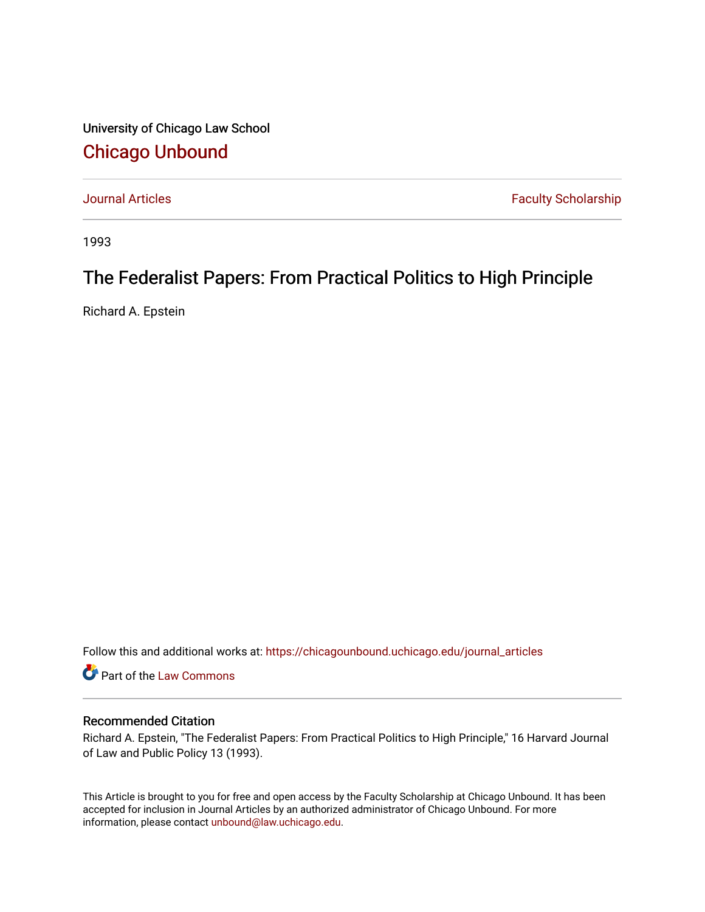University of Chicago Law School [Chicago Unbound](https://chicagounbound.uchicago.edu/)

[Journal Articles](https://chicagounbound.uchicago.edu/journal_articles) **Faculty Scholarship Faculty Scholarship** 

1993

## The Federalist Papers: From Practical Politics to High Principle

Richard A. Epstein

Follow this and additional works at: [https://chicagounbound.uchicago.edu/journal\\_articles](https://chicagounbound.uchicago.edu/journal_articles?utm_source=chicagounbound.uchicago.edu%2Fjournal_articles%2F1247&utm_medium=PDF&utm_campaign=PDFCoverPages) 

Part of the [Law Commons](http://network.bepress.com/hgg/discipline/578?utm_source=chicagounbound.uchicago.edu%2Fjournal_articles%2F1247&utm_medium=PDF&utm_campaign=PDFCoverPages)

## Recommended Citation

Richard A. Epstein, "The Federalist Papers: From Practical Politics to High Principle," 16 Harvard Journal of Law and Public Policy 13 (1993).

This Article is brought to you for free and open access by the Faculty Scholarship at Chicago Unbound. It has been accepted for inclusion in Journal Articles by an authorized administrator of Chicago Unbound. For more information, please contact [unbound@law.uchicago.edu](mailto:unbound@law.uchicago.edu).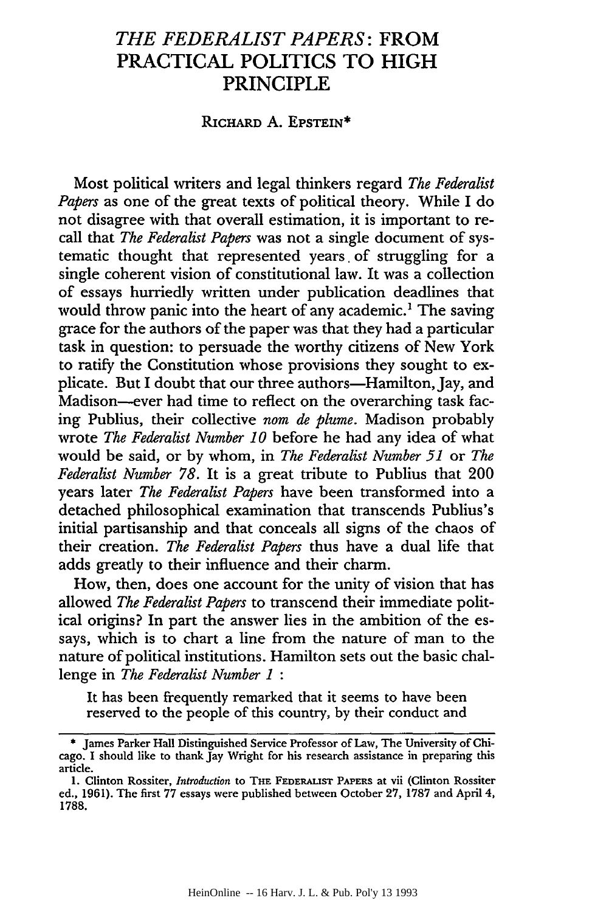## *THE FEDERALIST PAPERS:* **FROM PRACTICAL POLITICS TO HIGH PRINCIPLE**

## **RICHARD A.** EPSTEIN\*

Most political writers and legal thinkers regard *The Federalist Papers* as one of the great texts of political theory. While I do not disagree with that overall estimation, it is important to recall that *The Federalist Papers* was not a single document of systematic thought that represented years. of struggling for a single coherent vision of constitutional law. It was a collection of essays hurriedly written under publication deadlines that would throw panic into the heart of any academic.<sup>1</sup> The saving grace for the authors of the paper was that they had a particular task in question: to persuade the worthy citizens of New York to ratify the Constitution whose provisions they sought to explicate. But I doubt that our three authors-Hamilton, Jay, and Madison-ever had time to reflect on the overarching task facing Publius, their collective *nom de plume.* Madison probably wrote *The Federalist Number 10* before he had any idea of what would be said, or by whom, in *The Federalist Number 51* or *The Federalist Number 78.* It is a great tribute to Publius that 200 years later *The Federalist Papers* have been transformed into a detached philosophical examination that transcends Publius's initial partisanship and that conceals all signs of the chaos of their creation. *The Federalist Papers* thus have a dual life that adds greatly to their influence and their charm.

How, then, does one account for the unity of vision that has allowed *The Federalist Papers* to transcend their immediate political origins? In part the answer lies in the ambition of the essays, which is to chart a line from the nature of man to the nature of political institutions. Hamilton sets out the basic challenge in *The Federalist Number 1 :*

It has been frequently remarked that it seems to have been reserved to the people of this country, by their conduct and

<sup>\*</sup> James Parker Hall Distinguished Service Professor of Law, The University of Chicago. I should like to thank Jay Wright for his research assistance in preparing this article.

<sup>1.</sup> Clinton Rossiter, *Introduction* to THE FEDERALIST PAPERS at vii (Clinton Rossiter ed., 1961). The first 77 essays were published between October 27, 1787 and April 4, 1788.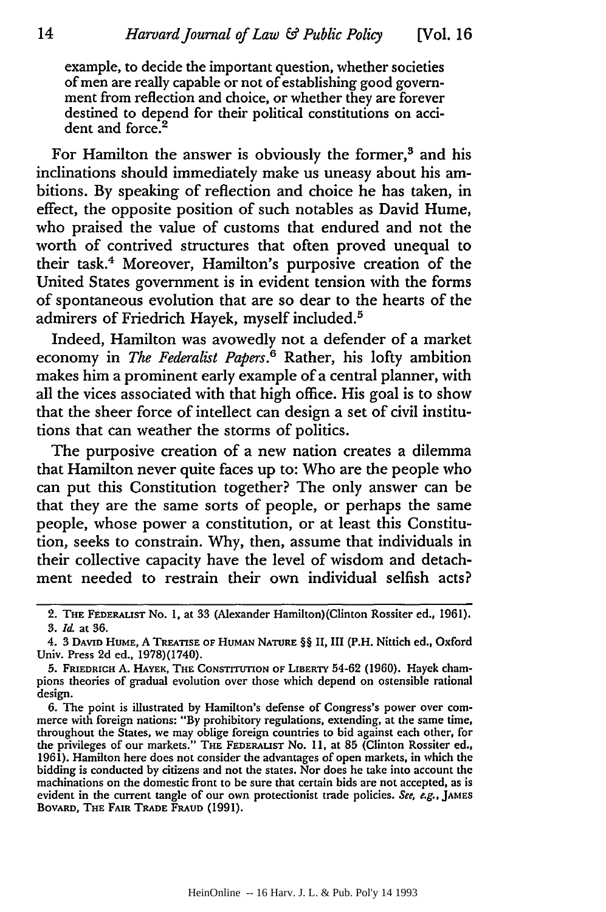example, to decide the important question, whether societies of men are really capable or not of establishing good government from reflection and choice, or whether they are forever destined to depend for their political constitutions on accident and force.<sup>2</sup>

For Hamilton the answer is obviously the former,<sup>3</sup> and his inclinations should immediately make us uneasy about his ambitions. By speaking of reflection and choice he has taken, in effect, the opposite position of such notables as David Hume, who praised the value of customs that endured and not the worth of contrived structures that often proved unequal to their task.4 Moreover, Hamilton's purposive creation of the United States government is in evident tension with the forms of spontaneous evolution that are so dear to the hearts of the admirers of Friedrich Hayek, myself included.5

Indeed, Hamilton was avowedly not a defender of a market economy in *The Federalist Papers*.<sup>6</sup> Rather, his lofty ambition makes him a prominent early example of a central planner, with all the vices associated with that high office. His goal is to show that the sheer force of intellect can design a set of civil institutions that can weather the storms of politics.

The purposive creation of a new nation creates a dilemma that Hamilton never quite faces up to: Who are the people who can put this Constitution together? The only answer can be that they are the same sorts of people, or perhaps the same people, whose power a constitution, or at least this Constitution, seeks to constrain. Why, then, assume that individuals in their collective capacity have the level of wisdom and detachment needed to restrain their own individual selfish acts?

<sup>2.</sup> THE FEDERALIST No. **1,** at 33 (Alexander Hamilton)(Clinton Rossiter **ed., 1961).** 3. **Id** at 36.

<sup>4. 3</sup> DAVID HUME, A TREATISE OF HUMAN NATURE §§ II, **III** (P.H. Nittich **ed.,** Oxford Univ. Press 2d ed., 1978)(1740).

**<sup>5.</sup>** FRIEDRICH **A. HAYEK,** THE CONSTITUTION OF LIBERTY 54-62 **(1960).** Hayek champions theories of gradual evolution over those which depend on ostensible rational design.

<sup>6.</sup> The point is illustrated by Hamilton's defense of Congress's power over commerce with foreign nations: "By prohibitory regulations, extending, at the same time, throughout the States, we may oblige foreign countries to bid against each other, for the privileges of our markets." THE FEDERALIST No. **11,** at 85 (Clinton Rossiter **ed.,** 1961). Hamilton here does not consider the advantages of open markets, in which the bidding is conducted by citizens and not the states. Nor does he take into account the machinations on the domestic front to be sure that certain bids are not accepted, as is evident in the current tangle of our own protectionist trade policies. See, e.g., **JAMES BOVARD,** THE FAIR TRADE **FRAUD (1991).**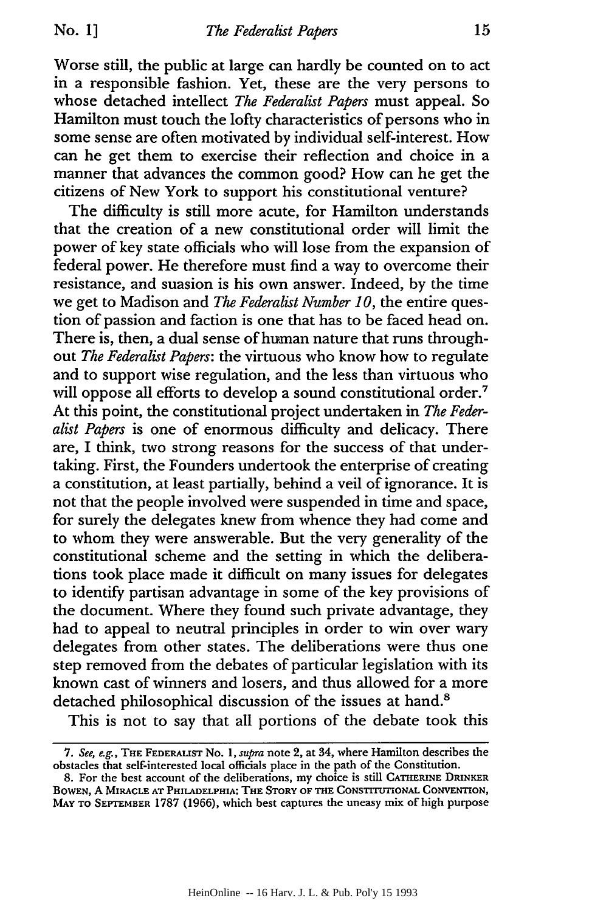Worse still, the public at large can hardly be counted on to act in a responsible fashion. Yet, these are the very persons to whose detached intellect *The Federalist Papers* must appeal. So Hamilton must touch the lofty characteristics of persons who in some sense are often motivated by individual self-interest. How can he get them to exercise their reflection and choice in a manner that advances the common good? How can he get the citizens of New York to support his constitutional venture?

The difficulty is still more acute, for Hamilton understands that the creation of a new constitutional order will limit the power of key state officials who will lose from the expansion of federal power. He therefore must find a way to overcome their resistance, and suasion is his own answer. Indeed, by the time we get to Madison and *The Federalist Number 10,* the entire question of passion and faction is one that has to be faced head on. There is, then, a dual sense of human nature that runs throughout *The Federalist Papers:* the virtuous who know how to regulate and to support wise regulation, and the less than virtuous who will oppose all efforts to develop a sound constitutional order.<sup>7</sup> At this point, the constitutional project undertaken in *The Federalist Papers* is one of enormous difficulty and delicacy. There are, I think, two strong reasons for the success of that undertaking. First, the Founders undertook the enterprise of creating a constitution, at least partially, behind a veil of ignorance. It is not that the people involved were suspended in time and space, for surely the delegates knew from whence they had come and to whom they were answerable. But the very generality of the constitutional scheme and the setting in which the deliberations took place made it difficult on many issues for delegates to identify partisan advantage in some of the key provisions of the document. Where they found such private advantage, they had to appeal to neutral principles in order to win over wary delegates from other states. The deliberations were thus one step removed from the debates of particular legislation with its known cast of winners and losers, and thus allowed for a more detached philosophical discussion of the issues at hand.<sup>8</sup>

This is not to say that all portions of the debate took this

*<sup>7.</sup> See, e.g.,* **THE** FEDERALIST No. 1, *supra* note 2, at 34, where Hamilton describes the obstacles that self-interested local officials place in the path of the Constitution.

<sup>8.</sup> For the best account of the deliberations, my choice is still **CATHERINE DRINKER** BOWEN, A MIRACLE AT PHILADELPHIA: THE STORY OF THE CONSTITUTIONAL CONVENTION, MAY **TO SEPTEMBER** 1787 **(1966),** which best captures the uneasy mix of high purpose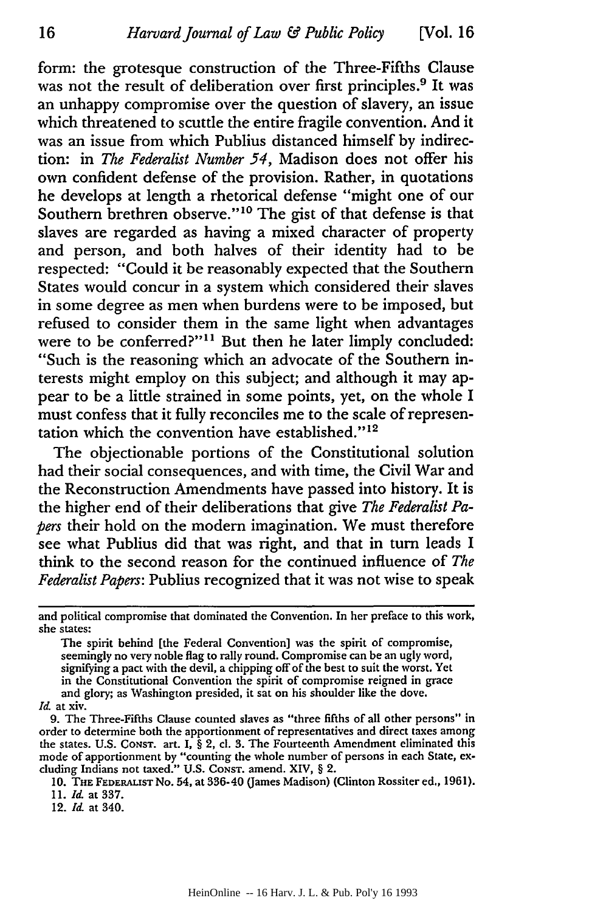form: the grotesque construction of the Three-Fifths Clause was not the result of deliberation over first principles.<sup>9</sup> It was an unhappy compromise over the question of slavery, an issue which threatened to scuttle the entire fragile convention. And it was an issue from which Publius distanced himself by indirection: in *The Federalist Number 54,* Madison does not offer his own confident defense of the provision. Rather, in quotations he develops at length a rhetorical defense "might one of our Southern brethren observe."<sup>10</sup> The gist of that defense is that slaves are regarded as having a mixed character of property and person, and both halves of their identity had to be respected: "Could it be reasonably expected that the Southern States would concur in a system which considered their slaves in some degree as men when burdens were to be imposed, but refused to consider them in the same light when advantages were to be conferred?"<sup>11</sup> But then he later limply concluded: "Such is the reasoning which an advocate of the Southern interests might employ on this subject; and although it may appear to be a little strained in some points, yet, on the whole I must confess that it fully reconciles me to the scale of representation which the convention have established." $12$ 

The objectionable portions of the Constitutional solution had their social consequences, and with time, the Civil War and the Reconstruction Amendments have passed into history. It is the higher end of their deliberations that give *The Federalist Papers* their hold on the modern imagination. We must therefore see what Publius did that was right, and that in turn leads I think to the second reason for the continued influence of *The Federalist Papers:* Publius recognized that it was not wise to speak

The spirit behind [the Federal Convention] was the spirit of compromise, seemingly no very noble flag to rally round. Compromise can be an ugly word, signifying a pact with the devil, a chipping off of the best to suit the worst. Yet in the Constitutional Convention the spirit of compromise reigned in grace and glory; as Washington presided, it sat on his shoulder like the dove.

*Id.* at xiv.

9. The Three-Fifths Clause counted slaves as "three fifths of all other persons" in order to determine both the apportionment of representatives and direct taxes among the states. **U.S.** CONsT. art. I, § 2, cI. **3.** The Fourteenth Amendment eliminated this mode of apportionment by "counting the whole number of persons in each State, excluding Indians not taxed." **U.S.** CONST. amend. XIV, § 2.

**12.** *Id.* at 340.

and political compromise that dominated the Convention. In her preface to this work, she states:

**<sup>10.</sup> THE FEDERALIST No.** 54, at 336-40 (James Madison) (Clinton Rossiter **ed., 1961).** *11. Id.* at **337.**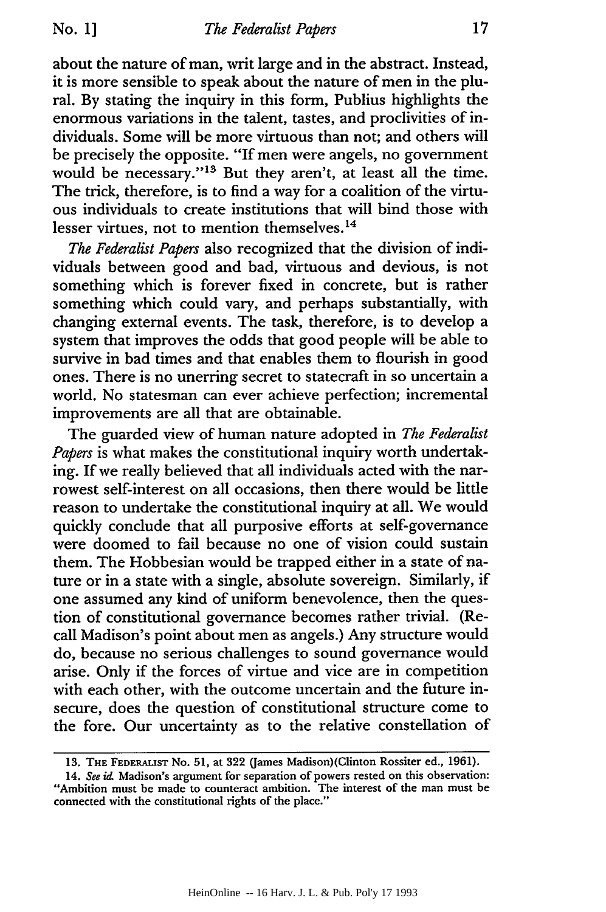about the nature of man, writ large and in the abstract. Instead, it is more sensible to speak about the nature of men in the plural. By stating the inquiry in this form, Publius highlights the enormous variations in the talent, tastes, and proclivities of individuals. Some will be more virtuous than not; and others will be precisely the opposite. "If men were angels, no government would be necessary."<sup>13</sup> But they aren't, at least all the time. The trick, therefore, is to find a way for a coalition of the virtuous individuals to create institutions that will bind those with lesser virtues, not to mention themselves.<sup>14</sup>

*The Federalist Papers* also recognized that the division of individuals between good and bad, virtuous and devious, is not something which is forever fixed in concrete, but is rather something which could vary, and perhaps substantially, with changing external events. The task, therefore, is to develop a system that improves the odds that good people will be able to survive in bad times and that enables them to flourish in good ones. There is no unerring secret to statecraft in so uncertain a world. No statesman can ever achieve perfection; incremental improvements are all that are obtainable.

The guarded view of human nature adopted in *The Federalist Papers* is what makes the constitutional inquiry worth undertaking. If we really believed that all individuals acted with the narrowest self-interest on all occasions, then there would be little reason to undertake the constitutional inquiry at all. We would quickly conclude that all purposive efforts at self-governance were doomed to fail because no one of vision could sustain them. The Hobbesian would be trapped either in a state of nature or in a state with a single, absolute sovereign. Similarly, if one assumed any kind of uniform benevolence, then the question of constitutional governance becomes rather trivial. (Recall Madison's point about men as angels.) Any structure would do, because no serious challenges to sound governance would arise. Only if the forces of virtue and vice are in competition with each other, with the outcome uncertain and the future insecure, does the question of constitutional structure come to the fore. Our uncertainty as to the relative constellation of

**<sup>13.</sup> THE FEDERALIST No. 51,** at **322** (James **Madison)(Clinton** Rossiter ed., **1961).**

<sup>14.</sup> See id. Madison's argument for separation of powers rested on this observation: "Ambition must be made to counteract ambition. The interest of the man must be connected with the constitutional rights of the place."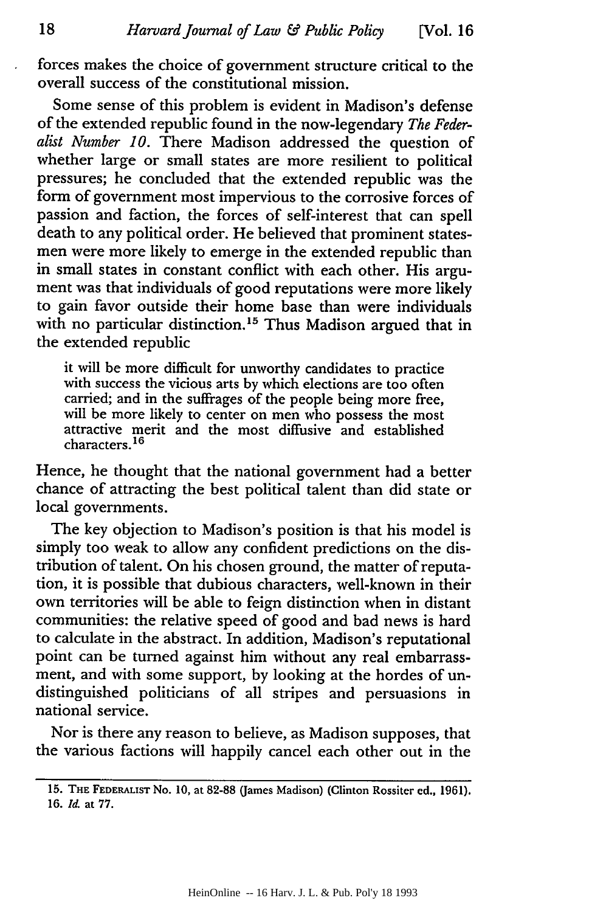forces makes the choice of government structure critical to the overall success of the constitutional mission.

Some sense of this problem is evident in Madison's defense of the extended republic found in the now-legendary *The Federalist Number 10.* There Madison addressed the question of whether large or small states are more resilient to political pressures; he concluded that the extended republic was the form of government most impervious to the corrosive forces of passion and faction, the forces of self-interest that can spell death to any political order. He believed that prominent statesmen were more likely to emerge in the extended republic than in small states in constant conflict with each other. His argument was that individuals of good reputations were more likely to gain favor outside their home base than were individuals with no particular distinction.<sup>15</sup> Thus Madison argued that in the extended republic

it will be more difficult for unworthy candidates to practice with success the vicious arts by which elections are too often carried; and in the suffrages of the people being more free, will be more likely to center on men who possess the most attractive merit and the most diffusive and established characters. **1 6**

Hence, he thought that the national government had a better chance of attracting the best political talent than did state or local governments.

The key objection to Madison's position is that his model is simply too weak to allow any confident predictions on the distribution of talent. On his chosen ground, the matter of reputation, it is possible that dubious characters, well-known in their own territories will be able to feign distinction when in distant communities: the relative speed of good and bad news is hard to calculate in the abstract. In addition, Madison's reputational point can be turned against him without any real embarrassment, and with some support, by looking at the hordes of undistinguished politicians of all stripes and persuasions in national service.

Nor is there any reason to believe, as Madison supposes, that the various factions will happily cancel each other out in the

**<sup>15.</sup> THE FEDERALIST** No. **10,** at **82-88** (James Madison) (Clinton Rossiter ed., **1961).** 16. *Id.* at 77.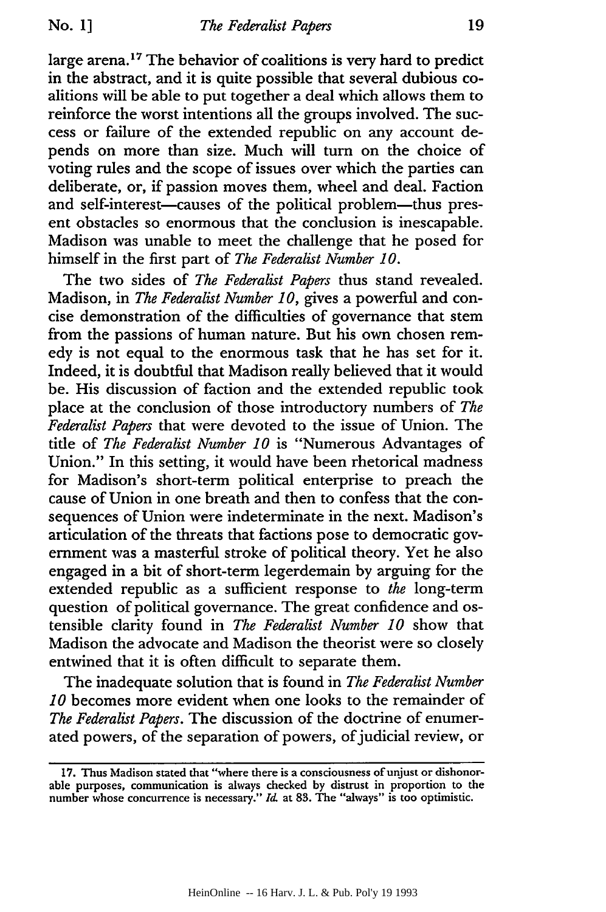large arena.<sup>17</sup> The behavior of coalitions is very hard to predict in the abstract, and it is quite possible that several dubious coalitions will be able to put together a deal which allows them to reinforce the worst intentions all the groups involved. The success or failure of the extended republic on any account depends on more than size. Much will turn on the choice of voting rules and the scope of issues over which the parties can deliberate, or, if passion moves them, wheel and deal. Faction and self-interest-causes of the political problem-thus present obstacles so enormous that the conclusion is inescapable. Madison was unable to meet the challenge that he posed for himself in the first part of *The Federalist Number 10.*

The two sides of *The Federalist Papers* thus stand revealed. Madison, in *The Federalist Number 10,* gives a powerful and concise demonstration of the difficulties of governance that stem from the passions of human nature. But his own chosen remedy is not equal to the enormous task that he has set for it. Indeed, it is doubtful that Madison really believed that it would be. His discussion of faction and the extended republic took place at the conclusion of those introductory numbers of *The Federalist Papers* that were devoted to the issue of Union. The title of *The Federalist Number 10* is "Numerous Advantages of Union." In this setting, it would have been rhetorical madness for Madison's short-term political enterprise to preach the cause of Union in one breath and then to confess that the consequences of Union were indeterminate in the next. Madison's articulation of the threats that factions pose to democratic government was a masterful stroke of political theory. Yet he also engaged in a bit of short-term legerdemain by arguing for the extended republic as a sufficient response to *the* long-term question of political governance. The great confidence and ostensible clarity found in *The Federalist Number 10* show that Madison the advocate and Madison the theorist were so closely entwined that it is often difficult to separate them.

The inadequate solution that is found in *The Federalist Number 10* becomes more evident when one looks to the remainder of *The Federalist Papers.* The discussion of the doctrine of enumerated powers, of the separation of powers, of judicial review, or

**<sup>17.</sup>** Thus Madison stated that "where there is a consciousness of unjust or dishonorable purposes, communication is always checked **by** distrust in proportion to the number whose concurrence is necessary." **Id-** at **83.** The "always" is too optimistic.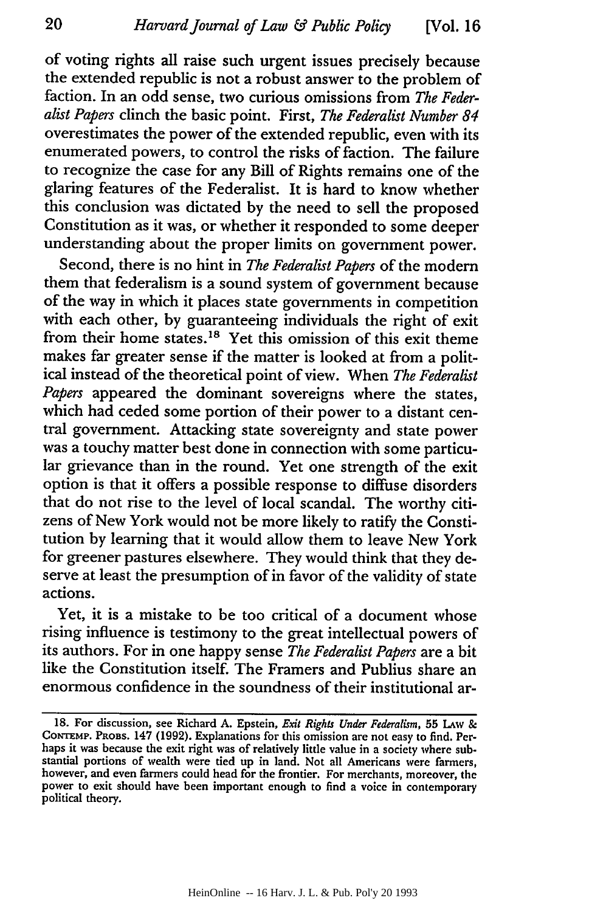of voting rights all raise such urgent issues precisely because the extended republic is not a robust answer to the problem of faction. In an odd sense, two curious omissions from *The Federalist Papers* clinch the basic point. First, *The Federalist Number 84* overestimates the power of the extended republic, even with its enumerated powers, to control the risks of faction. The failure to recognize the case for any Bill of Rights remains one of the glaring features of the Federalist. It is hard to know whether this conclusion was dictated by the need to sell the proposed Constitution as it was, or whether it responded to some deeper understanding about the proper limits on government power.

Second, there is no hint in *The Federalist Papers* of the modern them that federalism is a sound system of government because of the way in which it places state governments in competition with each other, by guaranteeing individuals the right of exit from their home states.<sup>18</sup> Yet this omission of this exit theme makes far greater sense if the matter is looked at from a political instead of the theoretical point of view. When *The Federalist Papers* appeared the dominant sovereigns where the states, which had ceded some portion of their power to a distant central government. Attacking state sovereignty and state power was a touchy matter best done in connection with some particular grievance than in the round. Yet one strength of the exit option is that it offers a possible response to diffuse disorders that do not rise to the level of local scandal. The worthy citizens of New York would not be more likely to ratify the Constitution by learning that it would allow them to leave New York for greener pastures elsewhere. They would think that they deserve at least the presumption of in favor of the validity of state actions.

Yet, it is a mistake to be too critical of a document whose rising influence is testimony to the great intellectual powers of its authors. For in one happy sense *The Federalist Papers* are a bit like the Constitution itself. The Framers and Publius share an enormous confidence in the soundness of their institutional ar-

**<sup>18.</sup>** For discussion, see Richard **A.** Epstein, *Exit Rights Under Federalism,* **55 LAw & CONTEMP. PROBS.** 147 **(1992).** Explanations for this omission are not easy to find. Perhaps it was because the exit right was of relatively little value in a society where substantial portions of wealth were tied up in land. Not all Americans were farmers, however, and even farmers could head for the frontier. For merchants, moreover, the power to exit should have been important enough to find a voice in contemporary political theory.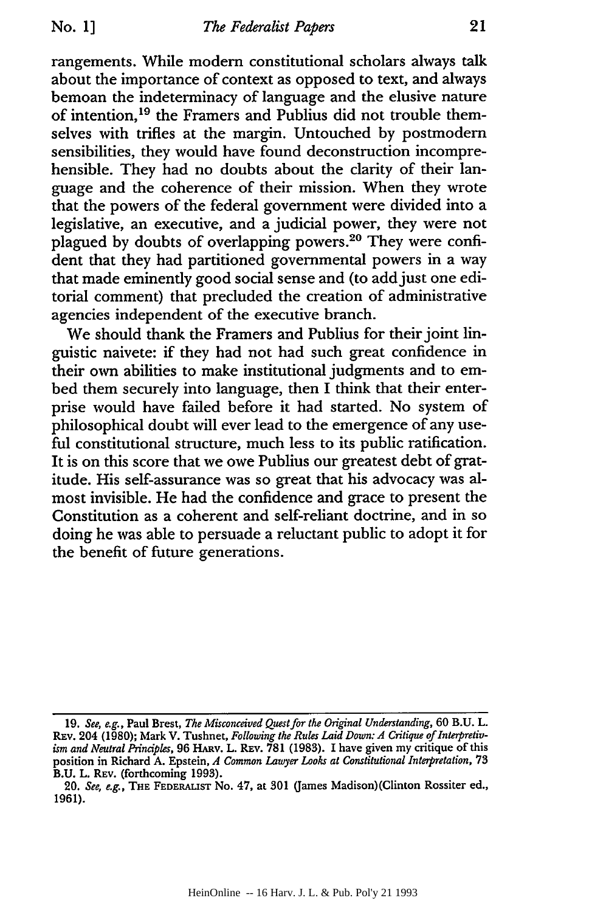rangements. While modem constitutional scholars always talk about the importance of context as opposed to text, and always bemoan the indeterminacy of language and the elusive nature of intention,<sup>19</sup> the Framers and Publius did not trouble themselves with trifles at the margin. Untouched by postmodern sensibilities, they would have found deconstruction incomprehensible. They had no doubts about the clarity of their language and the coherence of their mission. When they wrote that the powers of the federal government were divided into a legislative, an executive, and a judicial power, they were not plagued by doubts of overlapping powers. 20 They were confident that they had partitioned governmental powers in a way that made eminently good social sense and (to add just one editorial comment) that precluded the creation of administrative agencies independent of the executive branch.

We should thank the Framers and Publius for their joint linguistic naivete: if they had not had such great confidence in their own abilities to make institutional judgments and to embed them securely into language, then I think that their enterprise would have failed before it had started. No system of philosophical doubt will ever lead to the emergence of any useful constitutional structure, much less to its public ratification. It is on this score that we owe Publius our greatest debt of gratitude. His self-assurance was so great that his advocacy was almost invisible. He had the confidence and grace to present the Constitution as a coherent and self-reliant doctrine, and in so doing he was able to persuade a reluctant public to adopt it for the benefit of future generations.

<sup>19.</sup> *See, e.g.,* Paul Brest, *The Misconceived Quest for the Original Understanding,* 60 B.U. L. REV. 204 (1980); Mark V. Tushnet, *Following the Rules Laid Down: A Critique of Interpretivism and Neutral Principles,* 96 HAmv. L. **REV.** 781 (1983). I have given my critique of this position in Richard A. Epstein, *A Common Lawyer Looks at Constitutional Interpretation, 73* B.U. L. REV. (forthcoming 1993).

<sup>20.</sup> *See, e.g.,* **THE FEDERALiST** No. 47, at 301 (James Madison)(Clinton Rossiter ed., 1961).